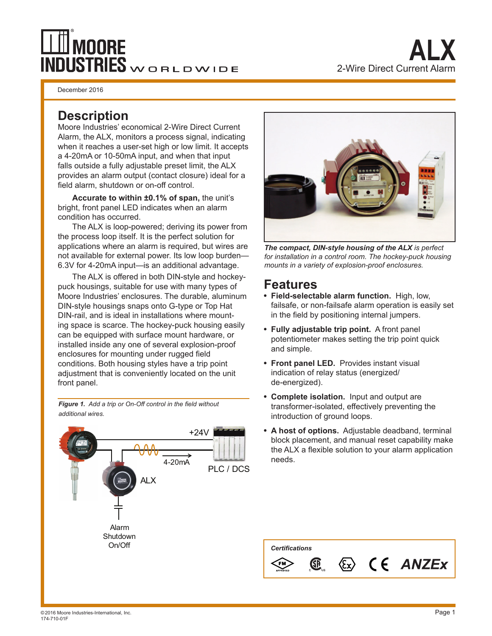# **MOORE INDUSTRIES** WORLDWIDE

December 2016

## **Description**

Moore Industries' economical 2-Wire Direct Current Alarm, the ALX, monitors a process signal, indicating when it reaches a user-set high or low limit. It accepts a 4-20mA or 10-50mA input, and when that input falls outside a fully adjustable preset limit, the ALX provides an alarm output (contact closure) ideal for a field alarm, shutdown or on-off control.

 **Accurate to within ±0.1% of span,** the unit's bright, front panel LED indicates when an alarm condition has occurred.

The ALX is loop-powered; deriving its power from the process loop itself. It is the perfect solution for applications where an alarm is required, but wires are not available for external power. Its low loop burden— 6.3V for 4-20mA input—is an additional advantage.

The ALX is offered in both DIN-style and hockeypuck housings, suitable for use with many types of Moore Industries' enclosures. The durable, aluminum DIN-style housings snaps onto G-type or Top Hat DIN-rail, and is ideal in installations where mounting space is scarce. The hockey-puck housing easily can be equipped with surface mount hardware, or installed inside any one of several explosion-proof enclosures for mounting under rugged field conditions. Both housing styles have a trip point adjustment that is conveniently located on the unit front panel.

**Figure 1.** Add a trip or On-Off control in the field without *additional wires.*





*The compact, DIN-style housing of the ALX is perfect for installation in a control room. The hockey-puck housing mounts in a variety of explosion-proof enclosures.*

# **Features**

- **Field-selectable alarm function.** High, low, failsafe, or non-failsafe alarm operation is easily set in the field by positioning internal jumpers.
- **Fully adjustable trip point.** A front panel potentiometer makes setting the trip point quick and simple.
- **Front panel LED.** Provides instant visual indication of relay status (energized/ de-energized).
- **Complete isolation.** Input and output are transformer-isolated, effectively preventing the introduction of ground loops.
- **A host of options.** Adjustable deadband, terminal block placement, and manual reset capability make the ALX a flexible solution to your alarm application needs.

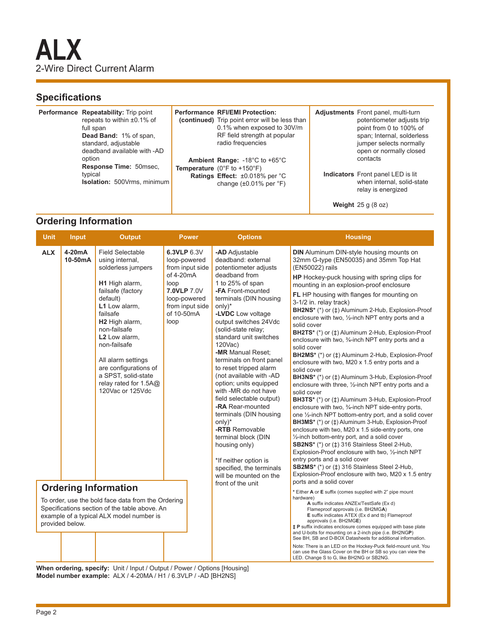### **Specifications**

| Performance Repeatability: Trip point<br>repeats to within $\pm 0.1\%$ of<br>full span<br>Dead Band: 1% of span,<br>standard, adjustable<br>deadband available with -AD<br>option<br><b>Response Time: 50msec.</b><br>typical<br><b>Isolation:</b> 500Vrms, minimum | <b>Performance RFI/EMI Protection:</b><br>(continued) Trip point error will be less than<br>0.1% when exposed to 30V/m<br>RF field strength at popular<br>radio frequencies<br>Ambient Range: -18°C to +65°C<br><b>Temperature</b> ( $0^{\circ}$ F to +150 $^{\circ}$ F)<br>Ratings Effect: ±0.018% per °C<br>change $(\pm 0.01\%$ per $\degree$ F) | <b>Adjustments</b> Front panel, multi-turn<br>potentiometer adjusts trip<br>point from 0 to 100% of<br>span; Internal, solderless<br>jumper selects normally<br>open or normally closed<br>contacts<br><b>Indicators</b> Front panel LED is lit<br>when internal, solid-state<br>relay is energized |
|---------------------------------------------------------------------------------------------------------------------------------------------------------------------------------------------------------------------------------------------------------------------|-----------------------------------------------------------------------------------------------------------------------------------------------------------------------------------------------------------------------------------------------------------------------------------------------------------------------------------------------------|-----------------------------------------------------------------------------------------------------------------------------------------------------------------------------------------------------------------------------------------------------------------------------------------------------|
|                                                                                                                                                                                                                                                                     |                                                                                                                                                                                                                                                                                                                                                     | <b>Weight</b> $25$ g $(8$ oz)                                                                                                                                                                                                                                                                       |

#### **Ordering Information**

| <b>Unit</b>                                                                                                                                                        | <b>Input</b>      | <b>Output</b>                                                                                                                                                                                                                                                                                                                          | <b>Power</b>                                                                                                                                | <b>Options</b>                                                                                                                                                                                                                                                                                                                                                                                                                                                                                                                                                                                                                                                  | <b>Housing</b>                                                                                                                                                                                                                                                                                                                                                                                                                                                                                                                                                                                                                                                                                                                                                                                                                                                                                                                                                                                                                                                                                                                                                                                                                                                                                                                                                                                                                  |  |
|--------------------------------------------------------------------------------------------------------------------------------------------------------------------|-------------------|----------------------------------------------------------------------------------------------------------------------------------------------------------------------------------------------------------------------------------------------------------------------------------------------------------------------------------------|---------------------------------------------------------------------------------------------------------------------------------------------|-----------------------------------------------------------------------------------------------------------------------------------------------------------------------------------------------------------------------------------------------------------------------------------------------------------------------------------------------------------------------------------------------------------------------------------------------------------------------------------------------------------------------------------------------------------------------------------------------------------------------------------------------------------------|---------------------------------------------------------------------------------------------------------------------------------------------------------------------------------------------------------------------------------------------------------------------------------------------------------------------------------------------------------------------------------------------------------------------------------------------------------------------------------------------------------------------------------------------------------------------------------------------------------------------------------------------------------------------------------------------------------------------------------------------------------------------------------------------------------------------------------------------------------------------------------------------------------------------------------------------------------------------------------------------------------------------------------------------------------------------------------------------------------------------------------------------------------------------------------------------------------------------------------------------------------------------------------------------------------------------------------------------------------------------------------------------------------------------------------|--|
| <b>ALX</b>                                                                                                                                                         | 4-20mA<br>10-50mA | <b>Field Selectable</b><br>using internal,<br>solderless jumpers<br>H1 High alarm,<br>failsafe (factory<br>default)<br>L1 Low alarm.<br>failsafe<br>H2 High alarm,<br>non-failsafe<br>L2 Low alarm,<br>non-failsafe<br>All alarm settings<br>are configurations of<br>a SPST, solid-state<br>relay rated for 1.5A@<br>120Vac or 125Vdc | 6.3VLP 6.3V<br>loop-powered<br>from input side<br>of 4-20mA<br>loop<br>7.0VLP 7.0V<br>loop-powered<br>from input side<br>of 10-50mA<br>loop | -AD Adjustable<br>deadband: external<br>potentiometer adjusts<br>deadband from<br>1 to 25% of span<br>-FA Front-mounted<br>terminals (DIN housing<br>$only)$ *<br>-LVDC Low voltage<br>output switches 24Vdc<br>(solid-state relay;<br>standard unit switches<br>120Vac)<br>-MR Manual Reset;<br>terminals on front panel<br>to reset tripped alarm<br>(not available with -AD<br>option; units equipped<br>with -MR do not have<br>field selectable output)<br>-RA Rear-mounted<br>terminals (DIN housing<br>$only)*$<br>-RTB Removable<br>terminal block (DIN<br>housing only)<br>*If neither option is<br>specified, the terminals<br>will be mounted on the | <b>DIN</b> Aluminum DIN-style housing mounts on<br>32mm G-type (EN50035) and 35mm Top Hat<br>(EN50022) rails<br>HP Hockey-puck housing with spring clips for<br>mounting in an explosion-proof enclosure<br>FL HP housing with flanges for mounting on<br>3-1/2 in. relay track)<br>BH2NS* (*) or (‡) Aluminum 2-Hub, Explosion-Proof<br>enclosure with two, 1/2-inch NPT entry ports and a<br>solid cover<br><b>BH2TS*</b> (*) or ( $\uparrow$ ) Aluminum 2-Hub, Explosion-Proof<br>enclosure with two, 3/4-inch NPT entry ports and a<br>solid cover<br>BH2MS* (*) or ( $\pm$ ) Aluminum 2-Hub, Explosion-Proof<br>enclosure with two, M20 x 1.5 entry ports and a<br>solid cover<br>BH3NS* (*) or ( $\ddagger$ ) Aluminum 3-Hub, Explosion-Proof<br>enclosure with three, 1/2-inch NPT entry ports and a<br>solid cover<br>BH3TS* (*) or (±) Aluminum 3-Hub, Explosion-Proof<br>enclosure with two, 3/4-inch NPT side-entry ports,<br>one 1/2-inch NPT bottom-entry port, and a solid cover<br>BH3MS* (*) or (±) Aluminum 3-Hub, Explosion-Proof<br>enclosure with two, M20 x 1.5 side-entry ports, one<br>1/2-inch bottom-entry port, and a solid cover<br>SB2NS* (*) or ( $\pm$ ) 316 Stainless Steel 2-Hub,<br>Explosion-Proof enclosure with two, 1/2-inch NPT<br>entry ports and a solid cover<br><b>SB2MS*</b> (*) or ( $\uparrow$ ) 316 Stainless Steel 2-Hub,<br>Explosion-Proof enclosure with two, M20 x 1.5 entry |  |
| <b>Ordering Information</b>                                                                                                                                        |                   |                                                                                                                                                                                                                                                                                                                                        |                                                                                                                                             | front of the unit                                                                                                                                                                                                                                                                                                                                                                                                                                                                                                                                                                                                                                               | ports and a solid cover<br>* Either A or E suffix (comes supplied with 2" pipe mount                                                                                                                                                                                                                                                                                                                                                                                                                                                                                                                                                                                                                                                                                                                                                                                                                                                                                                                                                                                                                                                                                                                                                                                                                                                                                                                                            |  |
| To order, use the bold face data from the Ordering<br>Specifications section of the table above. An<br>example of a typical ALX model number is<br>provided below. |                   |                                                                                                                                                                                                                                                                                                                                        |                                                                                                                                             |                                                                                                                                                                                                                                                                                                                                                                                                                                                                                                                                                                                                                                                                 | hardware)<br>A suffix indicates ANZEx/TestSafe (Ex d)<br>Flameproof approvals (i.e. BH2MGA)<br>E suffix indicates ATEX (Ex d and tb) Flameproof<br>approvals (i.e. BH2MGE)<br><b>‡P</b> suffix indicates enclosure comes equipped with base plate<br>and U-bolts for mounting on a 2-inch pipe (i.e. BH2NGP)<br>See BH, SB and D-BOX Datasheets for additional information.                                                                                                                                                                                                                                                                                                                                                                                                                                                                                                                                                                                                                                                                                                                                                                                                                                                                                                                                                                                                                                                     |  |
|                                                                                                                                                                    |                   |                                                                                                                                                                                                                                                                                                                                        |                                                                                                                                             |                                                                                                                                                                                                                                                                                                                                                                                                                                                                                                                                                                                                                                                                 | Note: There is an LED on the Hockey-Puck field-mount unit. You<br>can use the Glass Cover on the BH or SB so you can view the<br>LED. Change S to G, like BH2NG or SB2NG.                                                                                                                                                                                                                                                                                                                                                                                                                                                                                                                                                                                                                                                                                                                                                                                                                                                                                                                                                                                                                                                                                                                                                                                                                                                       |  |

**When ordering, specify:** Unit / Input / Output / Power / Options [Housing] **Model number example:** ALX / 4-20MA / H1 / 6.3VLP / -AD [BH2NS]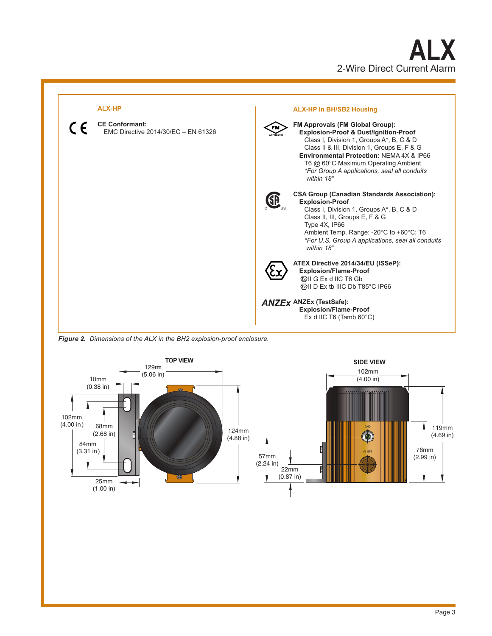



*Figure 2. Dimensions of the ALX in the BH2 explosion-proof enclosure.*

![](_page_2_Figure_3.jpeg)